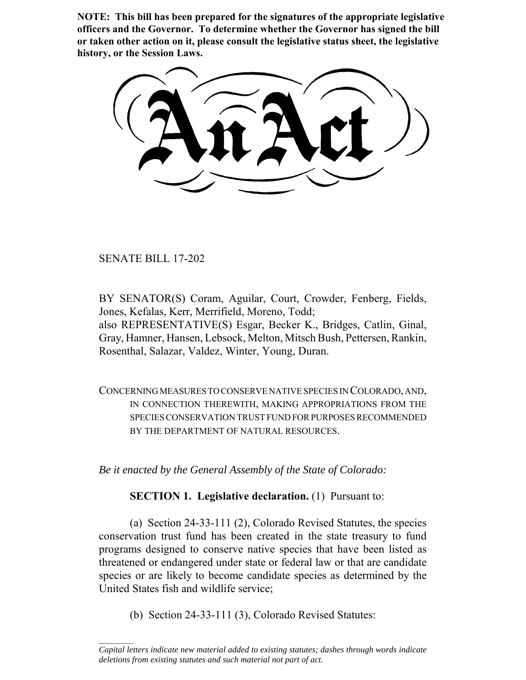**NOTE: This bill has been prepared for the signatures of the appropriate legislative officers and the Governor. To determine whether the Governor has signed the bill or taken other action on it, please consult the legislative status sheet, the legislative history, or the Session Laws.**

SENATE BILL 17-202

 $\frac{1}{2}$ 

BY SENATOR(S) Coram, Aguilar, Court, Crowder, Fenberg, Fields, Jones, Kefalas, Kerr, Merrifield, Moreno, Todd; also REPRESENTATIVE(S) Esgar, Becker K., Bridges, Catlin, Ginal, Gray, Hamner, Hansen, Lebsock, Melton, Mitsch Bush, Pettersen, Rankin, Rosenthal, Salazar, Valdez, Winter, Young, Duran.

CONCERNING MEASURES TO CONSERVE NATIVE SPECIES IN COLORADO, AND, IN CONNECTION THEREWITH, MAKING APPROPRIATIONS FROM THE SPECIES CONSERVATION TRUST FUND FOR PURPOSES RECOMMENDED BY THE DEPARTMENT OF NATURAL RESOURCES.

*Be it enacted by the General Assembly of the State of Colorado:*

**SECTION 1. Legislative declaration.** (1) Pursuant to:

(a) Section 24-33-111 (2), Colorado Revised Statutes, the species conservation trust fund has been created in the state treasury to fund programs designed to conserve native species that have been listed as threatened or endangered under state or federal law or that are candidate species or are likely to become candidate species as determined by the United States fish and wildlife service;

(b) Section 24-33-111 (3), Colorado Revised Statutes:

*Capital letters indicate new material added to existing statutes; dashes through words indicate deletions from existing statutes and such material not part of act.*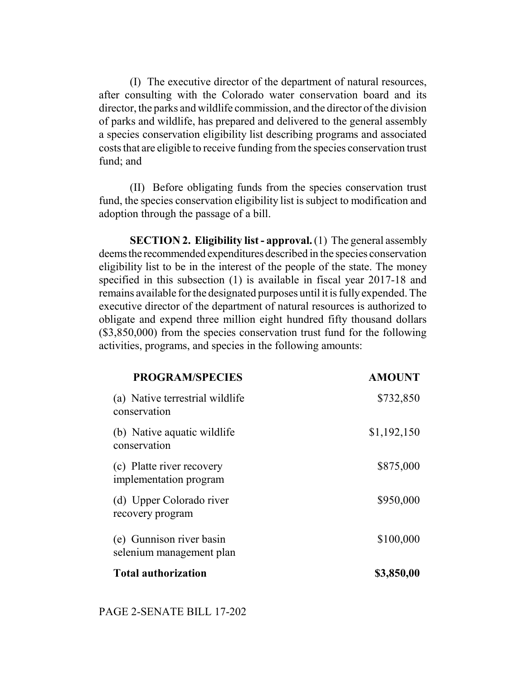(I) The executive director of the department of natural resources, after consulting with the Colorado water conservation board and its director, the parks and wildlife commission, and the director of the division of parks and wildlife, has prepared and delivered to the general assembly a species conservation eligibility list describing programs and associated costs that are eligible to receive funding from the species conservation trust fund; and

(II) Before obligating funds from the species conservation trust fund, the species conservation eligibility list is subject to modification and adoption through the passage of a bill.

**SECTION 2. Eligibility list - approval.** (1) The general assembly deems the recommended expenditures described in the species conservation eligibility list to be in the interest of the people of the state. The money specified in this subsection (1) is available in fiscal year 2017-18 and remains available for the designated purposes until it is fully expended. The executive director of the department of natural resources is authorized to obligate and expend three million eight hundred fifty thousand dollars (\$3,850,000) from the species conservation trust fund for the following activities, programs, and species in the following amounts:

| <b>PROGRAM/SPECIES</b>                               | <b>AMOUNT</b> |
|------------------------------------------------------|---------------|
| (a) Native terrestrial wildlife<br>conservation      | \$732,850     |
| (b) Native aquatic wildlife<br>conservation          | \$1,192,150   |
| (c) Platte river recovery<br>implementation program  | \$875,000     |
| (d) Upper Colorado river<br>recovery program         | \$950,000     |
| (e) Gunnison river basin<br>selenium management plan | \$100,000     |
| <b>Total authorization</b>                           | \$3,850,00    |

## PAGE 2-SENATE BILL 17-202